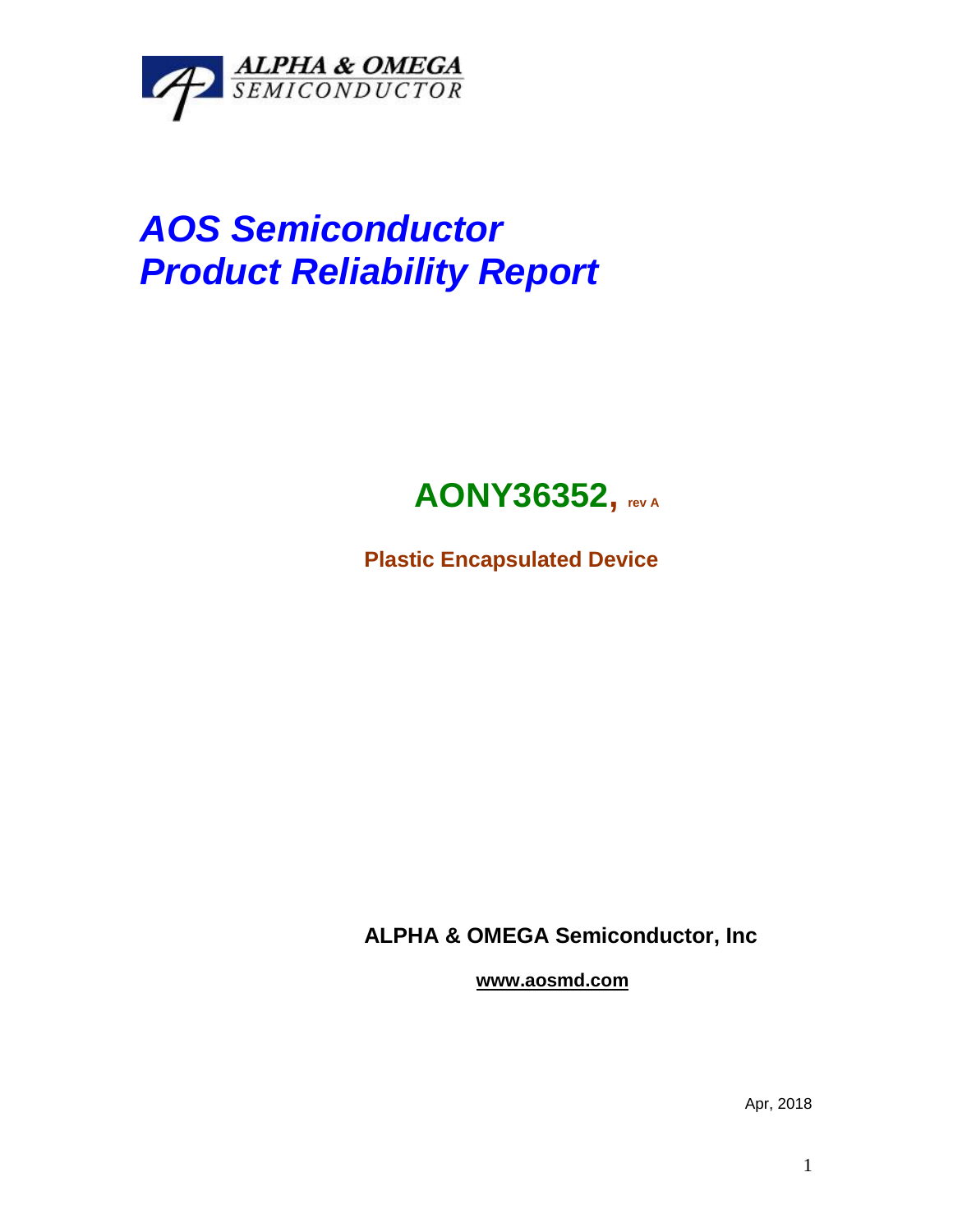

## *AOS Semiconductor Product Reliability Report*



**Plastic Encapsulated Device**

**ALPHA & OMEGA Semiconductor, Inc**

**www.aosmd.com**

Apr, 2018